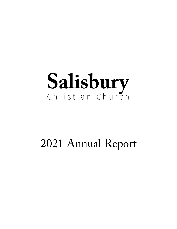## 2021 Annual Report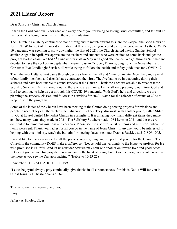## **2021 Elders' Report**

Dear Salisbury Christian Church Family,

I thank the Lord continually for each and every one of you for being so loving, kind, committed, and faithful no matter what is being thrown at us in the world's situation!

The Church in Salisbury continues to stand strong and to march onward to share the Gospel, the Good News of Jesus Christ! In light of the world's situations at this time, everyone could use some good news! As the COVID-19 pandemic was seeming to slow down after the first of 2021, the Church started having Sunday School available again in April. We appreciate the teachers and students who were excited to come back and get the program started again. We had 5th Sunday breakfast in May with good attendance. We got through Summer and decided to have the cookout in September, wiener roast in October, Thanksgiving Lunch in November, and Christmas Eve Candlelight Service, all while trying to follow the health and safety guidelines for COVID-19.

Then, the new Delta variant came through our area later in the fall and Omicron in late December, and several of our family members and friends have contracted the virus. They've had to be in quarantine during their sickness and have been unable to attend services at the Church. Thank the Lord we are able to broadcast the Worship Service LIVE and send it out to those who are at home. Let us all keep praying to our Great God and Lord to continue to help us get through this COVID-19 pandemic. With God's help and direction, we are planning the services, classes, and fellowship activities for 2022. Watch for the calendar of events of 2022 to keep up with the programs.

Some of the ladies of the Church have been meeting at the Church doing sewing projects for missions and people in need. They call themselves the Salisbury Stitchers. They also work with another group, called Stitch 'n' Go at Laurel United Methodist Church in Springfield. It is amazing how many different items they make and how many items they made in 2021. The Salisbury Stitchers made 1984 items in 2021 and these were distributed to numerous missions and agencies. Please see the insert for a list of items and ministries where the items were sent. Thank you, ladies for all you do in the name of Jesus Christ! If anyone would be interested in helping with this ministry, watch the bulletin for meeting dates or contact Deanna Buckley at 217-899-1005.

I would like to thank everyone for all the prayers, work, giving, and support that you do for the Church! The Church in the community DOES make a difference! "Let us hold unswervingly to the Hope we profess, for He who promised is Faithful. And let us consider how we may spur one another on toward love and good deeds. Let us not give up meeting together, as some are in the habit of doing, but let us encourage one another- and all the more as you see the Day approaching." (Hebrews 10:23-25)

Remember: IT IS ALL ABOUT JESUS!!

"Let us be joyful always, pray continually, give thanks in all circumstances, for this is God's Will for you in Christ Jesus." (1 Thessalonians 5:16-18)

Thanks to each and every one of you!

Love,

Jeffery A. Knoles, Elder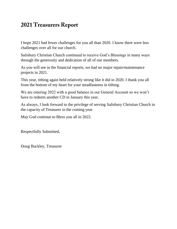## **2021 Treasurers Report**

I hope 2021 had fewer challenges for you all than 2020. I know there were less challenges over all for our church.

Salisbury Christian Church continued to receive God's Blessings in many ways through the generosity and dedication of all of our members.

As you will see in the financial reports, we had no major repair/maintenance projects in 2021.

This year, tithing again held relatively strong like it did in 2020. I thank you all from the bottom of my heart for your steadfastness in tithing.

We are entering 2022 with a good balance in our General Account so we won't have to redeem another CD in January this year.

As always, I look forward to the privilege of serving Salisbury Christian Church in the capacity of Treasurer in the coming year.

May God continue to Bless you all in 2022.

Respectfully Submitted,

Doug Buckley, Treasurer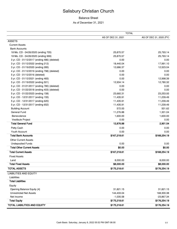#### Balance Sheet

#### As of December 31, 2021

|                                              | <b>TOTAL</b>       |                         |
|----------------------------------------------|--------------------|-------------------------|
|                                              | AS OF DEC 31, 2021 | AS OF DEC 31, 2020 (PY) |
| <b>ASSETS</b>                                |                    |                         |
| <b>Current Assets</b>                        |                    |                         |
| <b>Bank Accounts</b>                         |                    |                         |
| 18 Mo. CD - 04/26/2020 (ending 705)          | 25,870.57          | 25,793.14               |
| 18 Mo. CD - 04/26/2020 (ending 999)          | 25,870.57          | 25,793.14               |
| 3 yr. CD - 01/12/2017 (ending 486) (deleted) | 0.00               | 0.00                    |
| 3 yr. CD - 01/12/2022 (ending 212)           | 18,440.04          | 17,991.10               |
| 3 yr. CD - 01/19/2020 (ending 285)           | 12,686.37          | 12,523.04               |
| 4 yr. CD - 01/12/2019 (ending 798) (deleted) | 0.00               | 0.00                    |
| 5 yr. CD - 01/12/2016 (deleted)              | 0.00               | 0.00                    |
| 5 yr. CD - 01/12/2021 (ending 483)           | 0.00               | 12,998.39               |
| 5 yr. CD - 01/19/2022 (ending 501)           | 12,934.14          | 12,780.32               |
| 5 yr. CD - 01/21/2017 (ending 780) (deleted) | 0.00               | 0.00                    |
| 5 yr. CD - 01/22/2018 (ending 403) (deleted) | 0.00               | 0.00                    |
| 5 yr. CD - 01/22/2023 (ending 158)           | 23,660.31          | 23,253.93               |
| 5 yr. CD - 12/31/2017 (ending 155)           | 11,435.91          | 11,239.49               |
| 5 yr. CD - 12/31/2017 (ending 620)           | 11,435.91          | 11,239.49               |
| 5 yr. CD - 12/31/2017 (ending 652)           | 11,435.91          | 11,239.49               |
| <b>Building Account</b>                      | 572.00             | 501.62                  |
| General Fund                                 | 11,276.88          | 1,301.04                |
| Benevolence                                  | 1,600.00           | 1,600.00                |
| Vestibule Project                            | 0.00               | 0.00                    |
| <b>Total General Fund</b>                    | 12,876.88          | 2,901.04                |
| Petty Cash                                   | 0.00               | 0.00                    |
| Youth Account                                | 0.00               | 0.00                    |
| <b>Total Bank Accounts</b>                   | \$167,218.61       | \$168,254.19            |
| <b>Other Current Assets</b>                  |                    |                         |
| <b>Undeposited Funds</b>                     | 0.00               | 0.00                    |
| <b>Total Other Current Assets</b>            | \$0.00             | \$0.00                  |
| <b>Total Current Assets</b>                  | \$167,218.61       | \$168,254.19            |
| <b>Fixed Assets</b>                          |                    |                         |
| Land                                         | 8,000.00           | 8,000.00                |
| <b>Total Fixed Assets</b>                    | \$8,000.00         | \$8,000.00              |
| <b>TOTAL ASSETS</b>                          | \$175,218.61       | \$176,254.19            |
| <b>LIABILITIES AND EQUITY</b>                |                    |                         |
| Liabilities                                  |                    |                         |
| <b>Total Liabilities</b>                     |                    |                         |
| Equity                                       |                    |                         |
| Opening Balance Equity {4}                   | 31,821.15          | 31,821.15               |
| <b>Unrestricted Net Assets</b>               | 144,433.04         | 168,300.38              |
| Net Income                                   | $-1,035.58$        | $-23,867.34$            |
| <b>Total Equity</b>                          | \$175,218.61       | \$176,254.19            |
| <b>TOTAL LIABILITIES AND EQUITY</b>          | \$175,218.61       | \$176,254.19            |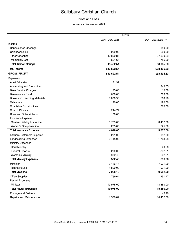#### Profit and Loss

January - December 2021

|                                 | <b>TOTAL</b>   |                     |
|---------------------------------|----------------|---------------------|
|                                 | JAN - DEC 2021 | JAN - DEC 2020 (PY) |
| Income                          |                |                     |
| <b>Benevolence Offerings</b>    |                | 150.00              |
| <b>Calendar Sales</b>           | 200.00         | 200.00              |
| Tithes/Offerings                | 42,800.87      | 37,330.63           |
| Memorial / Gift                 | 621.67         | 755.00              |
| <b>Total Tithes/Offerings</b>   | 43,422.54      | 38,085.63           |
| <b>Total Income</b>             | \$43,622.54    | \$38,435.63         |
| <b>GROSS PROFIT</b>             | \$43,622.54    | \$38,435.63         |
| Expenses                        |                |                     |
| <b>Adult Education</b>          | 71.97          |                     |
| Advertising and Promotion       |                | 949.55              |
| <b>Bank Service Charges</b>     | 25.00          | 15.00               |
| <b>Benevolence Fund</b>         | 600.00         | 1,000.00            |
| Books and Teaching Materials    | 1,000.96       | 763.76              |
| Calendars                       | 190.00         | 190.00              |
| <b>Charitable Contributions</b> |                | 860.00              |
| <b>Church Dinners</b>           | 244.72         |                     |
| Dues and Subscriptions          | 100.00         |                     |
| Insurance Expense               |                |                     |
| General Liability Insurance     | 3,783.00       | 3,432.00            |
| Worker's Compensation           | 235.00         | 225.00              |
| <b>Total Insurance Expense</b>  | 4,018.00       | 3,657.00            |
| Kitchen / Bathroom Supplies     | 201.05         | 142.00              |
| Landscaping Expenses            | 2,415.00       | 1,703.98            |
| <b>Ministry Expenses</b>        |                |                     |
| <b>Card Ministry</b>            |                | 20.96               |
| <b>Funeral Flowers</b>          | 200.00         | 392.81              |
| Women's Ministry                | 332.45         | 222.51              |
| <b>Total Ministry Expenses</b>  | 532.45         | 636.28              |
| <b>Missions</b>                 | 6,166.16       | 7,971.00            |
| Rapha House                     | 1,800.00       | 1,991.00            |
| <b>Total Missions</b>           | 7,966.16       | 9,962.00            |
| <b>Office Supplies</b>          | 769.64         | 1,251.47            |
| Payroll Expenses                |                |                     |
| Minister                        | 19,975.00      | 18,850.00           |
| <b>Total Payroll Expenses</b>   | 19,975.00      | 18,850.00           |
| Postage and Delivery            |                | 45.90               |
| Repairs and Maintenance         | 1,580.87       | 16,452.50           |
|                                 |                |                     |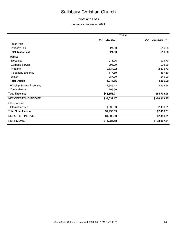#### Profit and Loss

January - December 2021

|                                 | <b>TOTAL</b>          |                     |  |
|---------------------------------|-----------------------|---------------------|--|
|                                 | <b>JAN - DEC 2021</b> | JAN - DEC 2020 (PY) |  |
| <b>Taxes Paid</b>               |                       |                     |  |
| Property Tax                    | 524.30                | 516.68              |  |
| <b>Total Taxes Paid</b>         | 524.30                | 516.68              |  |
| <b>Utilities</b>                |                       |                     |  |
| Electricity                     | 911.26                | 929.70              |  |
| Garbage Service                 | 296.29                | 294.00              |  |
| Propane                         | 2,634.22              | 2,875.72            |  |
| Telephone Expense               | 117.89                | 467.50              |  |
| Water                           | 287.20                | 240.00              |  |
| <b>Total Utilities</b>          | 4,246.86              | 4,806.92            |  |
| <b>Worship Service Expenses</b> | 1,985.23              | 2,935.94            |  |
| Youth Ministry                  | 206.50                |                     |  |
| <b>Total Expenses</b>           | \$46,653.71           | \$64,738.98         |  |
| <b>NET OPERATING INCOME</b>     | $$ -3,031.17$         | $$ -26,303.35$      |  |
| Other Income                    |                       |                     |  |
| Interest Income                 | 1,995.59              | 2,436.01            |  |
| <b>Total Other Income</b>       | \$1,995.59            | \$2,436.01          |  |
| NET OTHER INCOME                | \$1,995.59            | \$2,436.01          |  |
| <b>NET INCOME</b>               | $$ -1,035.58$         | $$ -23,867.34$      |  |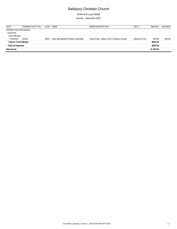Profit and Loss Detail January - December 2021

DATE TRANSACTION TYPE NUM NAME MEMO/DESCRIPTION SPLIT AMOUNT BALANCE Ordinary Income/Expenses Expenses Youth Ministry 11/29/2021 Check 6024 Lake Springfield Christian Assembly Camp Fees - Mason Kern & Mason Knoles General Fund 206.50 206.50 **Total for Youth Ministry \$206.50 Total for Expenses \$206.50 Net Income \$ -206.50**